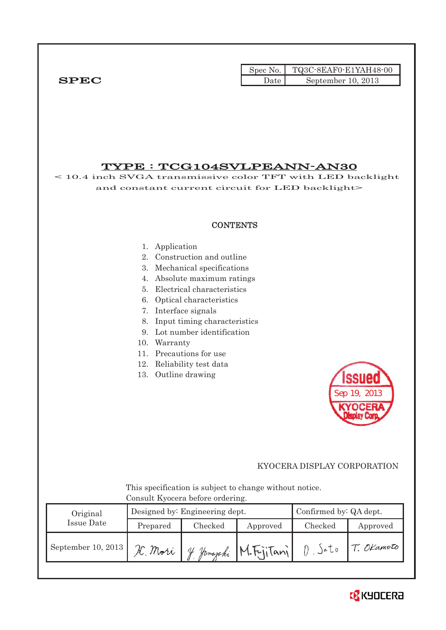Spec No. TQ3C-8EAF0-E1YAH48-00 SPEC Date September 10, 2013

TYPE : TCG104SVLPEANN-AN30 < 10.4 inch SVGA transmissive color TFT with LED backlight and constant current circuit for LED backlight> **CONTENTS** 1. Application 2. Construction and outline 3. Mechanical specifications 4. Absolute maximum ratings 5. Electrical characteristics 6. Optical characteristics 7. Interface signals 8. Input timing characteristics 9. Lot number identification 10. Warranty 11. Precautions for use 12. Reliability test data 13. Outline drawing Sep 19, 2013 KYOCERA DISPLAY CORPORATION This specification is subject to change without notice. Consult Kyocera before ordering. Designed by: Engineering dept. Confirmed by: QA dept. Original Issue Date Prepared Checked Approved Checked Approved  $0.5$  ato September 10, 2013 X. Mori 4 Jamajahi M. Fujitani T. OKamoto

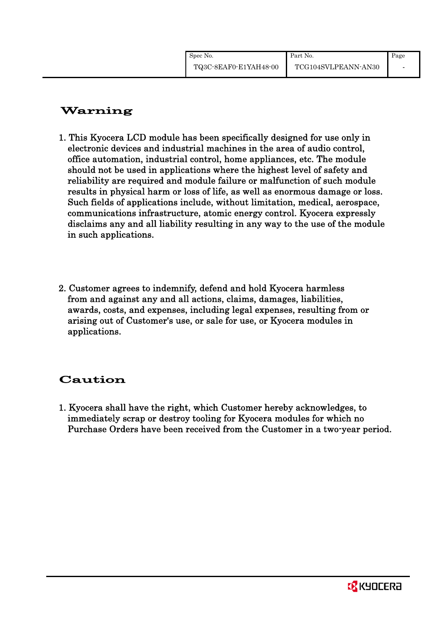# Warning

- 1. This Kyocera LCD module has been specifically designed for use only in electronic devices and industrial machines in the area of audio control, office automation, industrial control, home appliances, etc. The module should not be used in applications where the highest level of safety and reliability are required and module failure or malfunction of such module results in physical harm or loss of life, as well as enormous damage or loss. Such fields of applications include, without limitation, medical, aerospace, communications infrastructure, atomic energy control. Kyocera expressly disclaims any and all liability resulting in any way to the use of the module in such applications.
- 2. Customer agrees to indemnify, defend and hold Kyocera harmless from and against any and all actions, claims, damages, liabilities, awards, costs, and expenses, including legal expenses, resulting from or arising out of Customer's use, or sale for use, or Kyocera modules in applications.

# Caution

1. Kyocera shall have the right, which Customer hereby acknowledges, to immediately scrap or destroy tooling for Kyocera modules for which no Purchase Orders have been received from the Customer in a two-year period.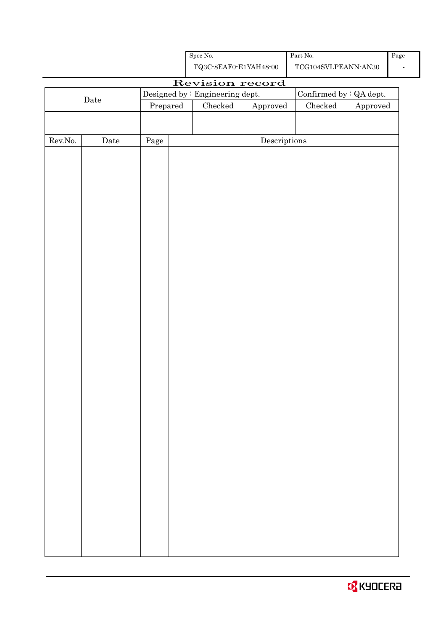| <b>B</b> KYOCERA |  |  |  |  |  |  |
|------------------|--|--|--|--|--|--|
|------------------|--|--|--|--|--|--|

|         |                      |            | ${\bf TQ3C\text{-}SEAF0\text{-}E1YAH48\text{-}00}$<br>$\operatorname{TCG104SVLPEANN\text{-}AN30}$ |                                 |                                      |                         |          |  |
|---------|----------------------|------------|---------------------------------------------------------------------------------------------------|---------------------------------|--------------------------------------|-------------------------|----------|--|
|         |                      |            |                                                                                                   | Revision record                 |                                      |                         |          |  |
|         | Date                 |            |                                                                                                   | Designed by : Engineering dept. |                                      | Confirmed by : QA dept. |          |  |
|         |                      | Prepared   |                                                                                                   | $\rm Checked$                   | ${\Large\bf Approved}$               | $\rm Checked$           | Approved |  |
|         |                      |            |                                                                                                   |                                 |                                      |                         |          |  |
|         |                      |            |                                                                                                   |                                 |                                      |                         |          |  |
| Rev.No. | $\rm{\textbf{Date}}$ | $\rm Page$ |                                                                                                   |                                 | $\label{eq:2} \textbf{Descriptions}$ |                         |          |  |
|         |                      |            |                                                                                                   |                                 |                                      |                         |          |  |
|         |                      |            |                                                                                                   |                                 |                                      |                         |          |  |
|         |                      |            |                                                                                                   |                                 |                                      |                         |          |  |
|         |                      |            |                                                                                                   |                                 |                                      |                         |          |  |
|         |                      |            |                                                                                                   |                                 |                                      |                         |          |  |
|         |                      |            |                                                                                                   |                                 |                                      |                         |          |  |
|         |                      |            |                                                                                                   |                                 |                                      |                         |          |  |
|         |                      |            |                                                                                                   |                                 |                                      |                         |          |  |
|         |                      |            |                                                                                                   |                                 |                                      |                         |          |  |
|         |                      |            |                                                                                                   |                                 |                                      |                         |          |  |
|         |                      |            |                                                                                                   |                                 |                                      |                         |          |  |
|         |                      |            |                                                                                                   |                                 |                                      |                         |          |  |
|         |                      |            |                                                                                                   |                                 |                                      |                         |          |  |
|         |                      |            |                                                                                                   |                                 |                                      |                         |          |  |
|         |                      |            |                                                                                                   |                                 |                                      |                         |          |  |
|         |                      |            |                                                                                                   |                                 |                                      |                         |          |  |
|         |                      |            |                                                                                                   |                                 |                                      |                         |          |  |
|         |                      |            |                                                                                                   |                                 |                                      |                         |          |  |
|         |                      |            |                                                                                                   |                                 |                                      |                         |          |  |
|         |                      |            |                                                                                                   |                                 |                                      |                         |          |  |
|         |                      |            |                                                                                                   |                                 |                                      |                         |          |  |
|         |                      |            |                                                                                                   |                                 |                                      |                         |          |  |
|         |                      |            |                                                                                                   |                                 |                                      |                         |          |  |
|         |                      |            |                                                                                                   |                                 |                                      |                         |          |  |
|         |                      |            |                                                                                                   |                                 |                                      |                         |          |  |
|         |                      |            |                                                                                                   |                                 |                                      |                         |          |  |
|         |                      |            |                                                                                                   |                                 |                                      |                         |          |  |
|         |                      |            |                                                                                                   |                                 |                                      |                         |          |  |
|         |                      |            |                                                                                                   |                                 |                                      |                         |          |  |
|         |                      |            |                                                                                                   |                                 |                                      |                         |          |  |
|         |                      |            |                                                                                                   |                                 |                                      |                         |          |  |
|         |                      |            |                                                                                                   |                                 |                                      |                         |          |  |
|         |                      |            |                                                                                                   |                                 |                                      |                         |          |  |

Page -

| Spec No. |                       |
|----------|-----------------------|
|          | TQ3C-8EAF0-E1YAH48-00 |

Part No.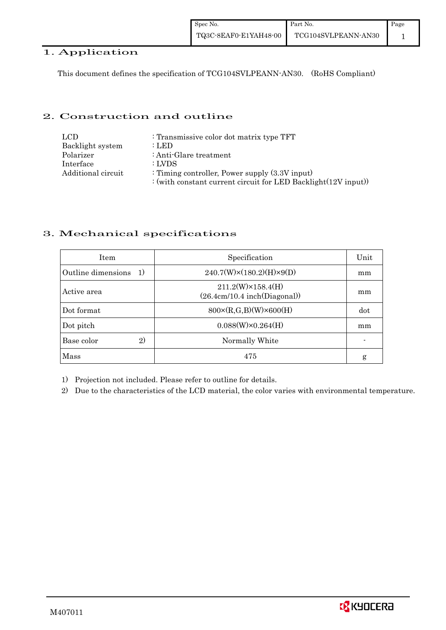## 1. Application

This document defines the specification of TCG104SVLPEANN-AN30. (RoHS Compliant)

## 2. Construction and outline

| LCD.               | : Transmissive color dot matrix type TFT                       |
|--------------------|----------------------------------------------------------------|
| Backlight system   | : LED                                                          |
| Polarizer          | : Anti-Glare treatment                                         |
| Interface          | : LVDS                                                         |
| Additional circuit | : Timing controller, Power supply $(3.3V)$ input)              |
|                    | : (with constant current circuit for LED Backlight(12V input)) |

## 3. Mechanical specifications

| <b>Item</b>                        | Specification                                             | Unit |
|------------------------------------|-----------------------------------------------------------|------|
| Outline dimensions<br><sup>1</sup> | $240.7(W)\times(180.2)(H)\times9(D)$                      | mm   |
| Active area                        | $211.2(W)\times 158.4(H)$<br>(26.4cm/10.4 inch(Diagonal)) | mm   |
| Dot format                         | $800 \times (R, G, B)(W) \times 600(H)$                   | dot  |
| Dot pitch                          | $0.088(W)\times0.264(H)$                                  | mm   |
| 2)<br>Base color                   | Normally White                                            |      |
| Mass                               | 475                                                       | g    |

1) Projection not included. Please refer to outline for details.

2) Due to the characteristics of the LCD material, the color varies with environmental temperature.

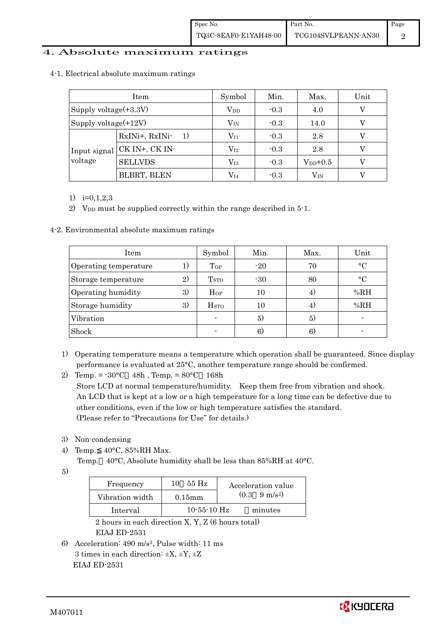### 4. Absolute maximum ratings

|                          | Item                 | Symbol                  | Min.   | Max.         | Unit |
|--------------------------|----------------------|-------------------------|--------|--------------|------|
| Supply voltage $(+3.3V)$ |                      | $\operatorname{V_{DD}}$ | $-0.3$ | 4.0          |      |
| Supply voltage $(+12V)$  |                      | $\rm V_{IN}$            | $-0.3$ | 14.0         |      |
|                          | RxINi+, RxINi-<br>1) | $\rm V_{I1}$            | $-0.3$ | 2.8          |      |
| Input signal<br>voltage  | CK IN+, CK IN-       | $\rm V_{I2}$            | $-0.3$ | 2.8          |      |
|                          | <b>SELLVDS</b>       | $\rm V_{I3}$            | $-0.3$ | $V_{DD}+0.5$ |      |
|                          | BLBRT, BLEN          | $\rm V_{I4}$            | $-0.3$ | $\rm V_{IN}$ |      |

4-1. Electrical absolute maximum ratings

1)  $i=0,1,2,3$ 

2) V<sub>DD</sub> must be supplied correctly within the range described in 5-1.

4-2. Environmental absolute maximum ratings

| Item                  |    | Symbol                  | Min.  | Max. | Unit      |
|-----------------------|----|-------------------------|-------|------|-----------|
| Operating temperature | 1) | Top                     | $-20$ | 70   | $\circ$ C |
| Storage temperature   | 2) | T <sub>STO</sub>        | $-30$ | 80   | $\circ$ C |
| Operating humidity    | 3) | $H_{OP}$                | 10    | 4)   | %RH       |
| Storage humidity      | 3) | <b>H</b> <sub>STO</sub> | 10    | 4)   | %RH       |
| Vibration             |    |                         | 5)    | 5)   |           |
| Shock                 |    |                         | 6)    | 6)   |           |

- 1) Operating temperature means a temperature which operation shall be guaranteed. Since display performance is evaluated at 25°C, another temperature range should be confirmed.
- 2) Temp. =  $-30^{\circ}$ C 48h, Temp. =  $80^{\circ}$ C 168h Store LCD at normal temperature/humidity. Keep them free from vibration and shock. An LCD that is kept at a low or a high temperature for a long time can be defective due to other conditions, even if the low or high temperature satisfies the standard. (Please refer to "Precautions for Use" for details.)
- 3) Non-condensing
- 4) Temp. 40°C, 85%RH Max.
	- Temp. 40°C, Absolute humidity shall be less than 85%RH at 40°C.

5)

| Frequency       | 55 H <sub>z</sub><br>10 | Acceleration value            |
|-----------------|-------------------------|-------------------------------|
| Vibration width | $0.15$ mm               | $(0.3 \quad 9 \text{ m/s}^2)$ |
| Interval        | $10 - 55 - 10$ Hz       | minutes                       |

2 hours in each direction  $\overline{X}$ ,  $\overline{Y}$ ,  $\overline{Z}$  (6 hours total) EIAJ ED-2531

6) Acceleration: 490 m/s2, Pulse width: 11 ms 3 times in each direction:  $\pm X$ ,  $\pm Y$ ,  $\pm Z$ EIAJ ED-2531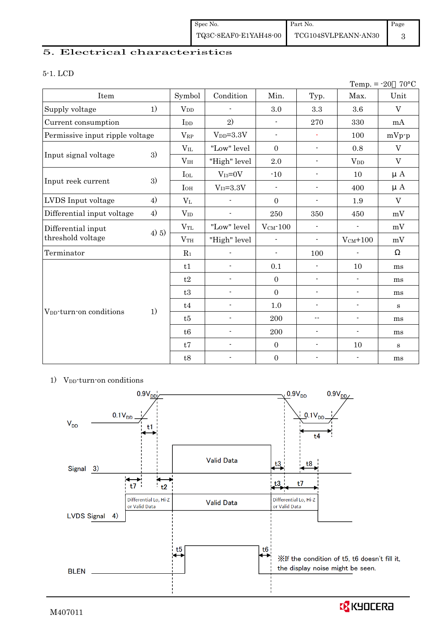## 5. Electrical characteristics

#### 5-1. LCD

|                                     |       |                 |                          |                          |                          | Temp. $= -20$            | $70^{\circ}$ C            |
|-------------------------------------|-------|-----------------|--------------------------|--------------------------|--------------------------|--------------------------|---------------------------|
| Item                                |       | Symbol          | Condition                | Min.                     | Typ.                     | Max.                     | Unit                      |
| Supply voltage                      | 1)    | $V_{DD}$        |                          | 3.0                      | $\!3.3\!$                | 3.6                      | $\mathbf{V}$              |
| Current consumption                 |       | I <sub>DD</sub> | 2)                       | $\blacksquare$           | 270                      | 330                      | mA                        |
| Permissive input ripple voltage     |       | $\rm V_{RP}$    | $V_{DD}=3.3V$            | $\overline{\phantom{a}}$ | $\blacksquare$           | 100                      | $mVp-p$                   |
|                                     |       | $V_{\rm IL}$    | "Low" level              | $\mathbf{0}$             | $\blacksquare$           | 0.8                      | $\ensuremath{\mathbf{V}}$ |
| Input signal voltage                | 3)    | V <sub>IH</sub> | "High" level             | $2.0\,$                  | $\overline{\phantom{a}}$ | <b>V</b> <sub>DD</sub>   | $\mathbf V$               |
|                                     |       | $I_{OL}$        | $V_{I3}=0V$              | $-10$                    | $\overline{\phantom{a}}$ | 10                       | $\mu A$                   |
| Input reek current                  | 3)    | $I_{OH}$        | $V_{I3} = 3.3V$          | $\overline{\phantom{0}}$ | $\blacksquare$           | 400                      | $\mu A$                   |
| LVDS Input voltage                  | 4)    | $\rm V_{L}$     |                          | $\mathbf{0}$             | $\overline{\phantom{a}}$ | 1.9                      | $\overline{V}$            |
| Differential input voltage          | 4)    | $V_{ID}$        | $\overline{\phantom{a}}$ | 250                      | 350                      | 450                      | mV                        |
| Differential input                  |       | $V_{TL}$        | "Low" level              | $V_{CM}$ -100            | $\overline{\phantom{a}}$ | $\blacksquare$           | mV                        |
| threshold voltage                   | 4) 5) | V <sub>TH</sub> | "High" level             | $\blacksquare$           | $\overline{\phantom{a}}$ | $V_{CM}$ +100            | mV                        |
| Terminator                          |       | $R_1$           |                          | $\blacksquare$           | 100                      |                          |                           |
|                                     |       | t1              | $\overline{\phantom{a}}$ | 0.1                      | $\overline{\phantom{a}}$ | 10                       | ms                        |
|                                     |       | t2              | $\overline{\phantom{a}}$ | $\mathbf{0}$             | $\overline{\phantom{a}}$ | $\overline{\phantom{a}}$ | ms                        |
|                                     |       | t3              | $\overline{a}$           | $\mathbf{0}$             | $\overline{a}$           | $\overline{a}$           | ms                        |
|                                     |       | t4              | $\overline{\phantom{a}}$ | 1.0                      | $\blacksquare$           | $\blacksquare$           | S                         |
| V <sub>DD</sub> -turn-on conditions | 1)    | t5              | $\overline{\phantom{0}}$ | 200                      | $-$                      | $\overline{\phantom{a}}$ | ms                        |
|                                     |       | t6              | $\frac{1}{2}$            | 200                      | $\overline{\phantom{a}}$ | $\overline{\phantom{a}}$ | ms                        |
|                                     |       | t7              | $\overline{\phantom{0}}$ | $\mathbf{0}$             | $\overline{\phantom{a}}$ | 10                       | $\mathbf{s}$              |
|                                     |       | t8              |                          | $\boldsymbol{0}$         |                          | $\overline{\phantom{a}}$ | ms                        |

#### 1) V<sub>DD</sub>-turn-on conditions



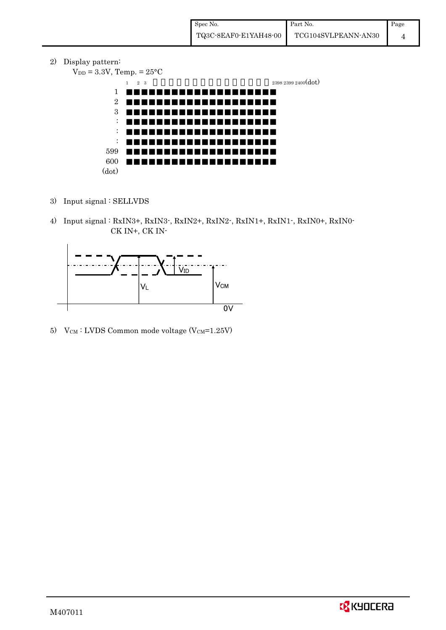2) Display pattern:

 $V_{DD} = 3.3V$ , Temp. =  $25^{\circ}$ C 1 2 3 2399 2400 (dot) 1 2 3 : : : 599 600 (dot)

- 3) Input signal : SELLVDS
- 4) Input signal : RxIN3+, RxIN3-, RxIN2+, RxIN2-, RxIN1+, RxIN1-, RxIN0+, RxIN0- CK IN+, CK IN-



5) V $_{CM}$ : LVDS Common mode voltage (V $_{CM}$ =1.25V)

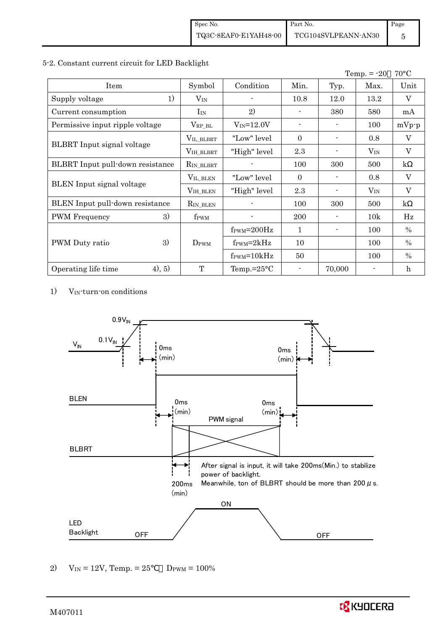#### 5-2. Constant current circuit for LED Backlight

|                                  |                       |                               |                          |        | Temp. $= -20$ | $70^{\circ}$ C          |
|----------------------------------|-----------------------|-------------------------------|--------------------------|--------|---------------|-------------------------|
| Item                             | Symbol                | Condition                     | Min.                     | Typ.   | Max.          | Unit                    |
| 1)<br>Supply voltage             | $V_{IN}$              |                               | 10.8                     | 12.0   | 13.2          | V                       |
| Current consumption              | $I_{IN}$              | 2)                            |                          | 380    | 580           | mA                      |
| Permissive input ripple voltage  | $V_{RP\_BL}$          | $V_{IN} = 12.0V$              | $\overline{\phantom{0}}$ |        | 100           | $mVp-p$                 |
|                                  | VIL_BLBRT             | "Low" level                   | $\theta$                 |        | 0.8           | V                       |
| BLBRT Input signal voltage       | VIH_BLBRT             | "High" level                  | 2.3                      |        | $V_{IN}$      | $\overline{\mathbf{V}}$ |
| BLBRT Input pull-down resistance | R <sub>IN_BLBRT</sub> |                               | 100                      | 300    | 500           | $\mathbf{k}$            |
|                                  | VIL_BLEN              | "Low" level                   | $\theta$                 |        | 0.8           | V                       |
| BLEN Input signal voltage        | VIH_BLEN              | "High" level                  | 2.3                      |        | $V_{IN}$      | $\overline{\mathbf{V}}$ |
| BLEN Input pull-down resistance  | $R_{IN\_BLEN}$        |                               | 100                      | 300    | 500           | $\mathbf{k}$            |
| 3)<br><b>PWM</b> Frequency       | f <sub>PWM</sub>      |                               | 200                      |        | 10k           | Hz                      |
|                                  |                       | $f_{\rm PWM} = 200 \text{Hz}$ | 1                        |        | 100           | $\frac{0}{0}$           |
| 3)<br>PWM Duty ratio             | $D_{\rm PWM}$         | $f_{\rm PWM} = 2kHz$          | 10                       |        | 100           | $\%$                    |
|                                  |                       | $f_{\text{PWM}}=10kHz$        | 50                       |        | 100           | $\%$                    |
| (4), 5)<br>Operating life time   | T                     | Temp.= $25^{\circ}$ C         |                          | 70,000 |               | h                       |

1) VIN-turn-on conditions



2)  $V_{IN} = 12V$ , Temp. = 25  $D_{PWM} = 100\%$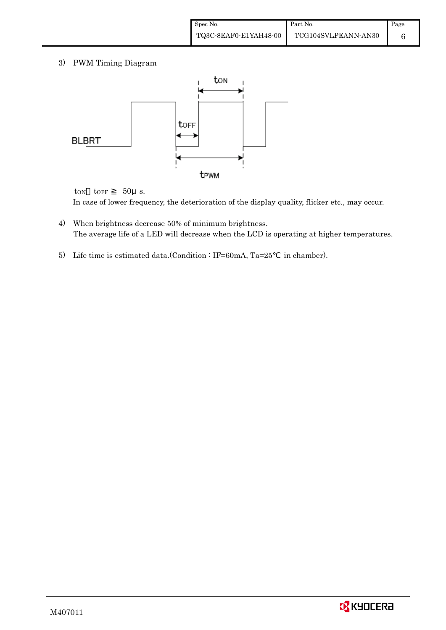3) PWM Timing Diagram



 $t_{ON}$   $t_{OFF}$  50 $\mu$  s. In case of lower frequency, the deterioration of the display quality, flicker etc., may occur.

- 4) When brightness decrease 50% of minimum brightness. The average life of a LED will decrease when the LCD is operating at higher temperatures.
- 5) Life time is estimated data.(Condition : IF=60mA, Ta=25 in chamber).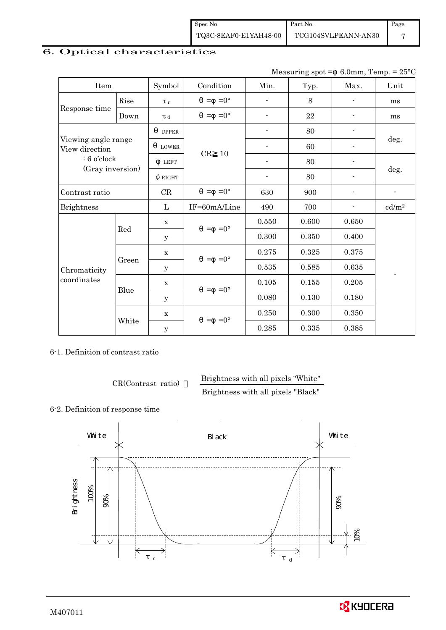Spec No. TQ3C-8EAF0-E1YAH48-00 Part No. TCG104SVLPEANN-AN30 Page 7

# 6. Optical characteristics

| Measuring spot = $6.0$ mm, Temp. = $25^{\circ}$ C |  |  |
|---------------------------------------------------|--|--|
|---------------------------------------------------|--|--|

| Item                                  |       | Symbol              | Condition           | Min.                     | Typ.  | Max.                     | Unit                     |
|---------------------------------------|-------|---------------------|---------------------|--------------------------|-------|--------------------------|--------------------------|
|                                       | Rise  | $\tau_r$            | $=0^{\circ}$<br>$=$ |                          | 8     |                          | ms                       |
| Response time                         | Down  | $\tau$ <sub>d</sub> | $=0^{\circ}$<br>$=$ |                          | 22    |                          | ms                       |
|                                       |       | <b>UPPER</b>        |                     | $\overline{\phantom{a}}$ | 80    | $\overline{\phantom{a}}$ |                          |
| Viewing angle range<br>View direction |       | <b>LOWER</b>        |                     |                          | 60    |                          | deg.                     |
| $: 6$ o'clock                         |       | <b>LEFT</b>         | CR<br>10            | $\blacksquare$           | 80    |                          |                          |
| (Gray inversion)                      |       | $\phi$ right        |                     | $\blacksquare$           | 80    |                          | deg.                     |
| Contrast ratio                        |       | CR                  | $=0^{\circ}$<br>$=$ | 630                      | 900   |                          |                          |
| <b>Brightness</b>                     |       | $\mathbf{L}$        | IF=60mA/Line        | 490                      | 700   |                          | cd/m <sup>2</sup>        |
|                                       | Red   | $\mathbf X$         | $=$ =0 $^{\circ}$   | 0.550                    | 0.600 | 0.650                    |                          |
|                                       |       | y                   |                     | 0.300                    | 0.350 | 0.400                    |                          |
|                                       |       | $\mathbf X$         | $=0^{\circ}$<br>$=$ | 0.275                    | 0.325 | 0.375                    |                          |
| Chromaticity                          | Green | y                   |                     | $\,0.535\,$              | 0.585 | 0.635                    |                          |
| coordinates                           |       | $\mathbf X$         | $=0^{\circ}$<br>$=$ | 0.105                    | 0.155 | 0.205                    | $\overline{\phantom{a}}$ |
|                                       | Blue  | У                   |                     | 0.080                    | 0.130 | 0.180                    |                          |
|                                       |       | $\mathbf X$         | $=0^{\circ}$        | 0.250                    | 0.300 | 0.350                    |                          |
|                                       | White | y                   | $=$                 | 0.285                    | 0.335 | 0.385                    |                          |

6-1. Definition of contrast ratio

CR(Contrast ratio) Brightness with all pixels "White"

Brightness with all pixels "Black"

### 6-2. Definition of response time



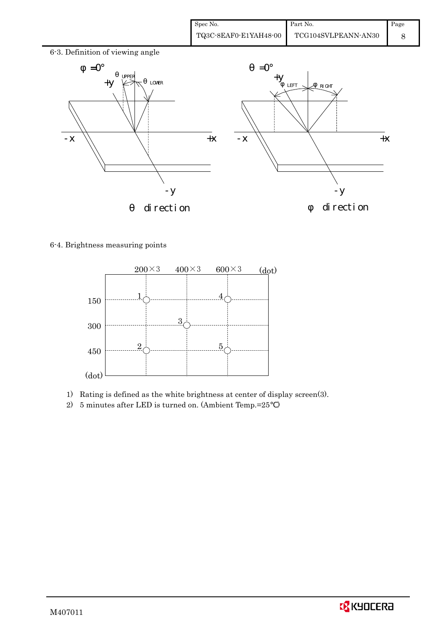| Spec No.              | Part No.            | Page |
|-----------------------|---------------------|------|
| TQ3C-8EAF0-E1YAH48-00 | TCG104SVLPEANN-AN30 |      |



6-4. Brightness measuring points



- 1) Rating is defined as the white brightness at center of display screen(3).
- 2) 5 minutes after LED is turned on. (Ambient Temp.=25 )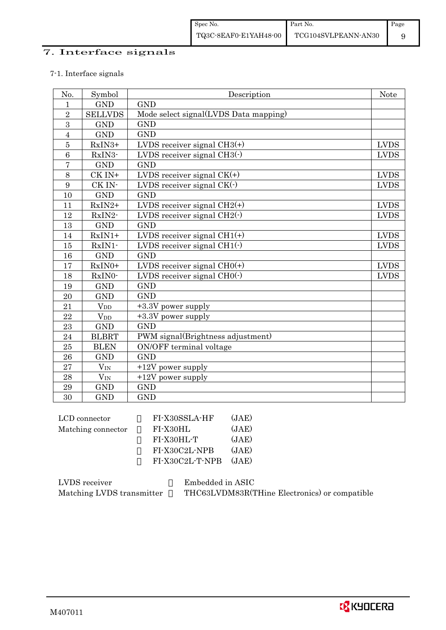## 7. Interface signals

### 7-1. Interface signals

| No.            | Symbol         | Description                           | Note         |
|----------------|----------------|---------------------------------------|--------------|
| $\mathbf{1}$   | <b>GND</b>     | <b>GND</b>                            |              |
| $\sqrt{2}$     | <b>SELLVDS</b> | Mode select signal(LVDS Data mapping) |              |
| 3              | <b>GND</b>     | <b>GND</b>                            |              |
| $\overline{4}$ | <b>GND</b>     | <b>GND</b>                            |              |
| $\overline{5}$ | RxIN3+         | LVDS receiver signal $CH3(+)$         | <b>LVDS</b>  |
| 6              | RxIN3-         | LVDS receiver signal $CH3()$          | <b>LVDS</b>  |
| $\overline{7}$ | <b>GND</b>     | <b>GND</b>                            |              |
| 8              | CK IN+         | LVDS receiver signal $CK(+)$          | <b>LVDS</b>  |
| 9              | CK IN-         | LVDS receiver signal $CK(\cdot)$      | <b>LVDS</b>  |
| 10             | <b>GND</b>     | <b>GND</b>                            |              |
| 11             | $RxIN2+$       | LVDS receiver signal $CH2(+)$         | <b>LVDS</b>  |
| 12             | RxIN2-         | LVDS receiver signal $CH2(\cdot)$     | ${\rm LVDS}$ |
| 13             | <b>GND</b>     | <b>GND</b>                            |              |
| 14             | $RxIN1+$       | LVDS receiver signal $CH1(+)$         | <b>LVDS</b>  |
| 15             | RxIN1-         | LVDS receiver signal $CH1(\cdot)$     | <b>LVDS</b>  |
| 16             | <b>GND</b>     | <b>GND</b>                            |              |
| 17             | RxIN0+         | LVDS receiver signal $CHO(+)$         | <b>LVDS</b>  |
| 18             | RxIN0-         | LVDS receiver signal $CHO(·)$         | <b>LVDS</b>  |
| 19             | <b>GND</b>     | <b>GND</b>                            |              |
| 20             | <b>GND</b>     | <b>GND</b>                            |              |
| 21             | $V_{DD}$       | +3.3V power supply                    |              |
| 22             | $V_{DD}$       | +3.3V power supply                    |              |
| 23             | <b>GND</b>     | <b>GND</b>                            |              |
| 24             | <b>BLBRT</b>   | PWM signal(Brightness adjustment)     |              |
| 25             | <b>BLEN</b>    | ON/OFF terminal voltage               |              |
| 26             | <b>GND</b>     | <b>GND</b>                            |              |
| 27             | $V_{IN}$       | $+12V$ power supply                   |              |
| 28             | $V_{IN}$       | $+12V$ power supply                   |              |
| 29             | <b>GND</b>     | <b>GND</b>                            |              |
| 30             | <b>GND</b>     | <b>GND</b>                            |              |

| FI-X30SSLA-HF   | (JAE) |
|-----------------|-------|
| FI-X30HL        | (JAE) |
| FI-X30HL-T      | (JAE) |
| FI-X30C2L-NPB   | (JAE) |
| FI-X30C2L-T-NPB | (JAE) |
|                 |       |

| LVDS receiver             | Embedded in ASIC                              |
|---------------------------|-----------------------------------------------|
| Matching LVDS transmitter | THC63LVDM83R(THine Electronics) or compatible |

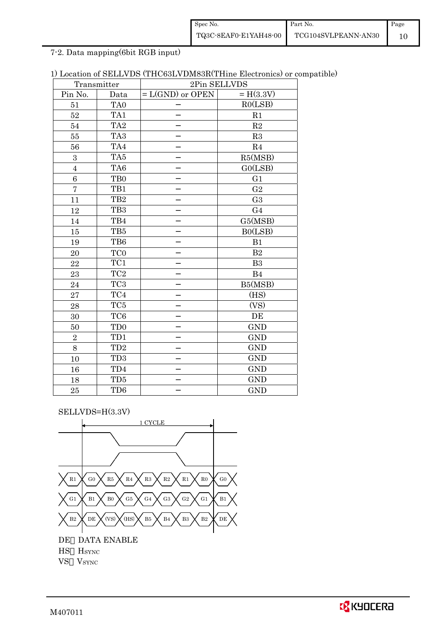| Spec No.              | Part No.            | Page |
|-----------------------|---------------------|------|
| TQ3C-8EAF0-E1YAH48-00 | TCG104SVLPEANN-AN30 |      |

7-2. Data mapping(6bit RGB input)

|  | 1) Location of SELLVDS (THC63LVDM83R(THine Electronics) or compatible) |  |  |  |
|--|------------------------------------------------------------------------|--|--|--|
|--|------------------------------------------------------------------------|--|--|--|

|                | Transmitter                 | 2Pin SELLVDS       |                |  |
|----------------|-----------------------------|--------------------|----------------|--|
| Pin No.        | Data                        | $= L(GND)$ or OPEN | $= H(3.3V)$    |  |
| 51             | TA0                         |                    | RO(LSB)        |  |
| 52             | TA1                         |                    | R1             |  |
| 54             | TA <sub>2</sub>             |                    | R2             |  |
| 55             | TA <sub>3</sub>             |                    | R3             |  |
| 56             | TA4                         |                    | R <sub>4</sub> |  |
| 3              | TA5                         |                    | R5(MSB)        |  |
| $\overline{4}$ | TA6                         |                    | GO(LSB)        |  |
| 6              | T <sub>B0</sub>             |                    | G <sub>1</sub> |  |
| $\overline{7}$ | TB1                         |                    | G <sub>2</sub> |  |
| 11             | TB <sub>2</sub>             |                    | G <sub>3</sub> |  |
| 12             | TB <sub>3</sub>             |                    | G <sub>4</sub> |  |
| 14             | TB4                         |                    | G5(MSB)        |  |
| 15             | TB5                         |                    | B0(LSB)        |  |
| 19             | TB6                         |                    | B1             |  |
| 20             | TC <sub>0</sub>             |                    | B <sub>2</sub> |  |
| 22             | TC1                         |                    | B <sub>3</sub> |  |
| 23             | $\rm TC2$                   |                    | B <sub>4</sub> |  |
| 24             | TC <sub>3</sub>             |                    | B5(MSB)        |  |
| 27             | TC4                         |                    | (HS)           |  |
| 28             | TC <sub>5</sub>             |                    | (VS)           |  |
| 30             | TC <sub>6</sub>             |                    | DE             |  |
| 50             | T <sub>D</sub> <sub>0</sub> |                    | <b>GND</b>     |  |
| $\overline{2}$ | TD1                         |                    | <b>GND</b>     |  |
| 8              | TD <sub>2</sub>             |                    | <b>GND</b>     |  |
| 10             | TD <sub>3</sub>             |                    | <b>GND</b>     |  |
| 16             | TD4                         |                    | <b>GND</b>     |  |
| 18             | TD5                         |                    | <b>GND</b>     |  |
| 25             | TD <sub>6</sub>             |                    | <b>GND</b>     |  |

SELLVDS=H(3.3V)

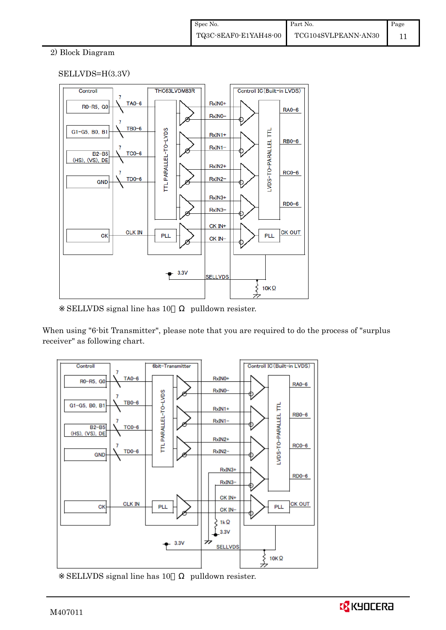## 2) Block Diagram

## SELLVDS=H(3.3V)



SELLVDS signal line has 10 pulldown resister.

When using "6-bit Transmitter", please note that you are required to do the process of "surplus receiver" as following chart.



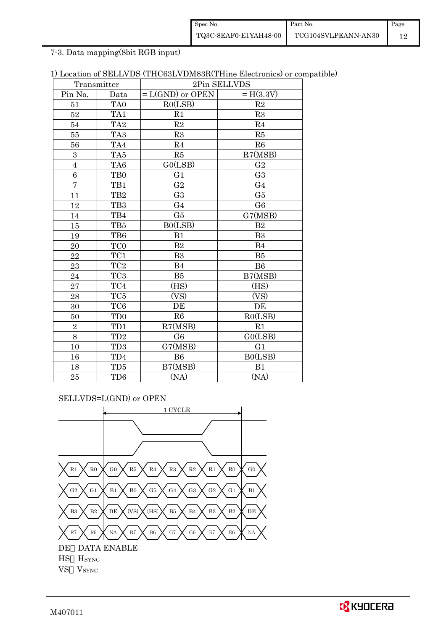| Spec No.              | Part No.            | Page |
|-----------------------|---------------------|------|
| TQ3C-8EAF0-E1YAH48-00 | TCG104SVLPEANN-AN30 |      |

7-3. Data mapping(8bit RGB input)

| 1) Location of SELLVDS (THC63LVDM83R(THine Electronics) or compatible) |  |  |
|------------------------------------------------------------------------|--|--|
|------------------------------------------------------------------------|--|--|

|                         | Transmitter     | 2Pin SELLVDS       |                |
|-------------------------|-----------------|--------------------|----------------|
| Pin No.                 | Data            | $= L(GND)$ or OPEN | $= H(3.3V)$    |
| 51                      | TA <sub>0</sub> | RO(LSB)            | R2             |
| 52                      | TA1             | R1                 | R3             |
| 54                      | TA <sub>2</sub> | $\mathbf{R}2$      | R <sub>4</sub> |
| $55\,$                  | TA <sub>3</sub> | R3                 | R5             |
| 56                      | TA4             | R <sub>4</sub>     | R6             |
| $\boldsymbol{3}$        | TA <sub>5</sub> | R5                 | R7(MSB)        |
| $\overline{\mathbf{4}}$ | TA6             | GO(LSB)            | G <sub>2</sub> |
| $\boldsymbol{6}$        | TB0             | G <sub>1</sub>     | G <sub>3</sub> |
| $\overline{7}$          | TB1             | G <sub>2</sub>     | G <sub>4</sub> |
| 11                      | TB <sub>2</sub> | G <sub>3</sub>     | G5             |
| 12                      | TB <sub>3</sub> | G <sub>4</sub>     | G <sub>6</sub> |
| 14                      | TB4             | G5                 | G7(MSB)        |
| 15                      | TB5             | B0(LSB)            | B <sub>2</sub> |
| 19                      | TB6             | B1                 | B <sub>3</sub> |
| 20                      | TC <sub>0</sub> | B <sub>2</sub>     | B <sub>4</sub> |
| 22                      | TC1             | B <sub>3</sub>     | B5             |
| 23                      | TC <sub>2</sub> | <b>B4</b>          | B <sub>6</sub> |
| 24                      | TC <sub>3</sub> | B5                 | B7(MSB)        |
| 27                      | TC4             | (HS)               | (HS)           |
| 28                      | $\rm TC5$       | (VS)               | (VS)           |
| 30                      | TC <sub>6</sub> | DE                 | DE             |
| 50                      | TD <sub>0</sub> | R6                 | RO(LSB)        |
| $\overline{2}$          | TD1             | R7(MSB)            | R1             |
| 8                       | $\rm TD2$       | G <sub>6</sub>     | GO(LSB)        |
| 10                      | TD <sub>3</sub> | G7(MSB)            | G <sub>1</sub> |
| 16                      | TD4             | <b>B6</b>          | B0(LSB)        |
| 18                      | TD5             | B7(MSB)            | B1             |
| 25                      | TD <sub>6</sub> | (NA)               | (NA)           |

SELLVDS=L(GND) or OPEN



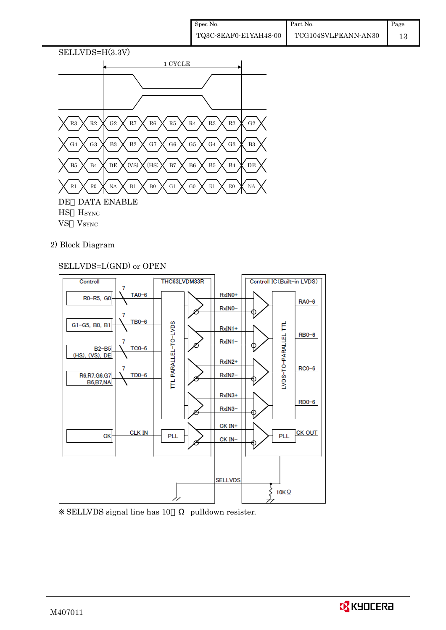

- VS VSYNC
- 2) Block Diagram

## SELLVDS=L(GND) or OPEN



SELLVDS signal line has 10 pulldown resister.

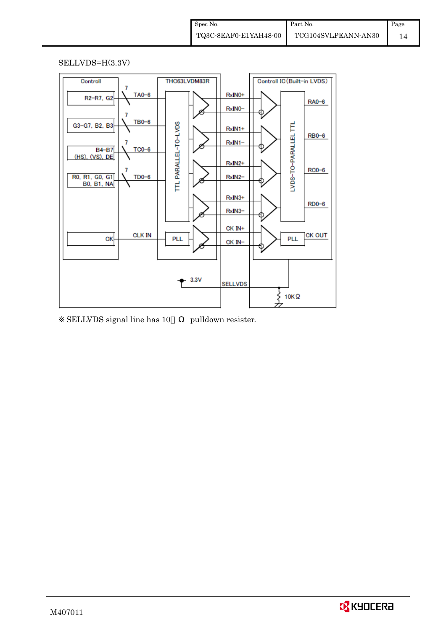#### SELLVDS=H(3.3V)



SELLVDS signal line has 10 pulldown resister.

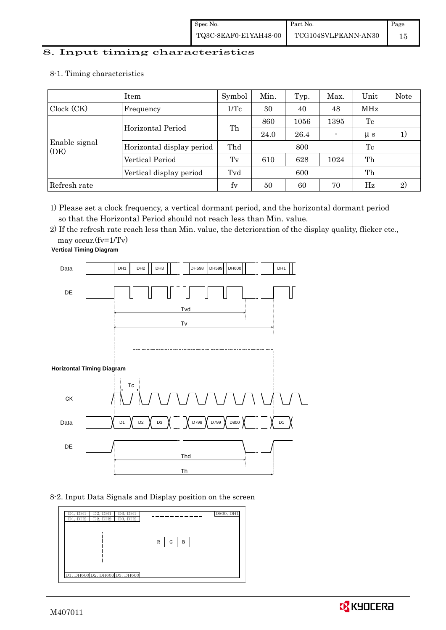# 8. Input timing characteristics  $\overline{\phantom{a}}$

8-1. Timing characteristics

|                       | Symbol                    | Min.            | Typ. | Max. | Unit | Note        |    |
|-----------------------|---------------------------|-----------------|------|------|------|-------------|----|
| Clock (CK)            | Frequency                 | $1/\mathrm{Tc}$ | 30   | 40   | 48   | MHz         |    |
|                       | Horizontal Period         | Th              | 860  | 1056 | 1395 | Tc          |    |
|                       |                           |                 | 24.0 | 26.4 |      | $\mu$ s     |    |
| Enable signal<br>(DE) | Horizontal display period | Thd             |      | 800  |      | Tc          |    |
|                       | Vertical Period           | Tv              | 610  | 628  | 1024 | Th          |    |
|                       | Vertical display period   | Tvd             |      | 600  |      | Th          |    |
| Refresh rate          |                           | $f_V$           | 50   | 60   | 70   | $_{\rm Hz}$ | 2) |

1) Please set a clock frequency, a vertical dormant period, and the horizontal dormant period so that the Horizontal Period should not reach less than Min. value.

2) If the refresh rate reach less than Min. value, the deterioration of the display quality, flicker etc.,

may occur.(fv=1/Tv)



8-2. Input Data Signals and Display position on the screen



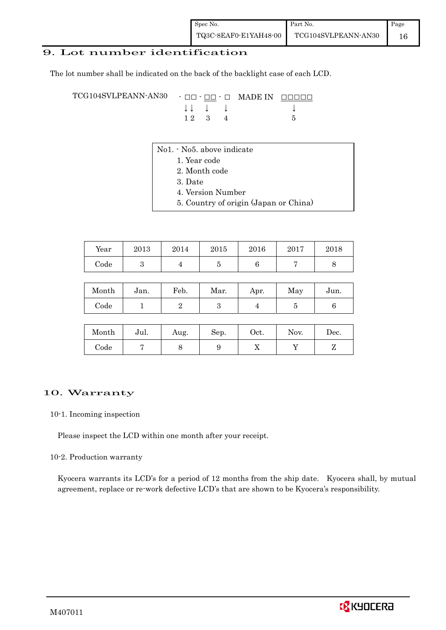## 9. Lot number identification

The lot number shall be indicated on the back of the backlight case of each LCD.

TCG104SVLPEANN-AN30 - □□ - □□ - □ MADE IN □□□□□ ↓ ↓ ↓ ↓ ↓  $12 \quad 3 \quad 4$  5

- No1. No5. above indicate
	- 1. Year code
		- 2. Month code
		- 3. Date
		- 4. Version Number
		- 5. Country of origin (Japan or China)

| Year | 2013 | 2014 | 2015 | 2016 | 2017 | 2018 |
|------|------|------|------|------|------|------|
| Code |      |      |      |      |      |      |

| Month      | Jan. | Feb. | Mar. | Apr. | May | Jun. |
|------------|------|------|------|------|-----|------|
| $\rm Code$ |      |      |      |      |     |      |

| Month      | Jul. | Aug. | Sep. | Oct. | Nov. | Dec. |
|------------|------|------|------|------|------|------|
| $\rm Code$ |      |      |      | ∡⊾   |      |      |

#### 10. Warranty

#### 10-1. Incoming inspection

Please inspect the LCD within one month after your receipt.

#### 10-2. Production warranty

 Kyocera warrants its LCD's for a period of 12 months from the ship date. Kyocera shall, by mutual agreement, replace or re-work defective LCD's that are shown to be Kyocera's responsibility.

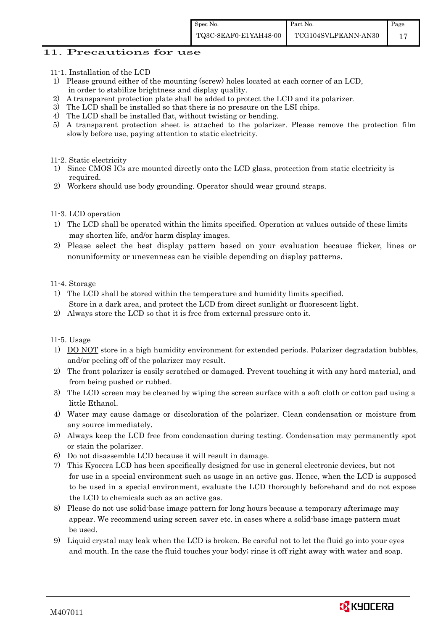### 11. Precautions for use

- 11-1. Installation of the LCD
- 1) Please ground either of the mounting (screw) holes located at each corner of an LCD, in order to stabilize brightness and display quality.
- 2) A transparent protection plate shall be added to protect the LCD and its polarizer.
- 3) The LCD shall be installed so that there is no pressure on the LSI chips.
- 4) The LCD shall be installed flat, without twisting or bending.
- 5) A transparent protection sheet is attached to the polarizer. Please remove the protection film slowly before use, paying attention to static electricity.

#### 11-2. Static electricity

- 1) Since CMOS ICs are mounted directly onto the LCD glass, protection from static electricity is required.
- 2) Workers should use body grounding. Operator should wear ground straps.

#### 11-3. LCD operation

- 1) The LCD shall be operated within the limits specified. Operation at values outside of these limits may shorten life, and/or harm display images.
- 2) Please select the best display pattern based on your evaluation because flicker, lines or nonuniformity or unevenness can be visible depending on display patterns.

#### 11-4. Storage

- 1) The LCD shall be stored within the temperature and humidity limits specified. Store in a dark area, and protect the LCD from direct sunlight or fluorescent light.
- 2) Always store the LCD so that it is free from external pressure onto it.

#### 11-5. Usage

- 1) DO NOT store in a high humidity environment for extended periods. Polarizer degradation bubbles, and/or peeling off of the polarizer may result.
- 2) The front polarizer is easily scratched or damaged. Prevent touching it with any hard material, and from being pushed or rubbed.
- 3) The LCD screen may be cleaned by wiping the screen surface with a soft cloth or cotton pad using a little Ethanol.
- 4) Water may cause damage or discoloration of the polarizer. Clean condensation or moisture from any source immediately.
- 5) Always keep the LCD free from condensation during testing. Condensation may permanently spot or stain the polarizer.
- 6) Do not disassemble LCD because it will result in damage.
- 7) This Kyocera LCD has been specifically designed for use in general electronic devices, but not for use in a special environment such as usage in an active gas. Hence, when the LCD is supposed to be used in a special environment, evaluate the LCD thoroughly beforehand and do not expose the LCD to chemicals such as an active gas.
- 8) Please do not use solid-base image pattern for long hours because a temporary afterimage may appear. We recommend using screen saver etc. in cases where a solid-base image pattern must be used.
- 9) Liquid crystal may leak when the LCD is broken. Be careful not to let the fluid go into your eyes and mouth. In the case the fluid touches your body; rinse it off right away with water and soap.

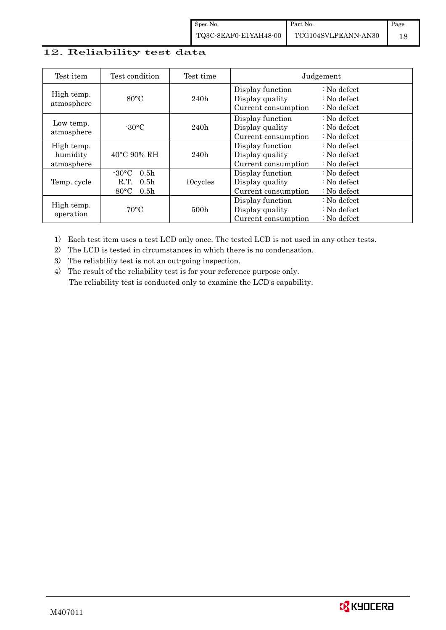## 12. Reliability test data

| Test item                            | Test condition                                                                                        | Test time        |                                                            | Judgement                                                                  |
|--------------------------------------|-------------------------------------------------------------------------------------------------------|------------------|------------------------------------------------------------|----------------------------------------------------------------------------|
| High temp.<br>atmosphere             | $80^{\circ}$ C                                                                                        | 240h             | Display function<br>Display quality<br>Current consumption | $\therefore$ No defect<br>$\therefore$ No defect<br>$\therefore$ No defect |
| Low temp.<br>atmosphere              | $-30$ °C                                                                                              | 240h             | Display function<br>Display quality<br>Current consumption | $\therefore$ No defect<br>: No defect<br>$\therefore$ No defect            |
| High temp.<br>humidity<br>atmosphere | $40^{\circ}$ C 90% RH                                                                                 | 240h             | Display function<br>Display quality<br>Current consumption | : No defect<br>$\therefore$ No defect<br>$\therefore$ No defect            |
| Temp. cycle                          | $-30^{\circ}$ C<br>0.5 <sub>h</sub><br>0.5 <sub>h</sub><br>R.T.<br>$80^{\circ}$ C<br>0.5 <sub>h</sub> | 10cycles         | Display function<br>Display quality<br>Current consumption | $\therefore$ No defect<br>$\therefore$ No defect<br>$\therefore$ No defect |
| High temp.<br>operation              | $70^{\circ}$ C                                                                                        | 500 <sub>h</sub> | Display function<br>Display quality<br>Current consumption | : No defect<br>$\therefore$ No defect<br>$\therefore$ No defect            |

1) Each test item uses a test LCD only once. The tested LCD is not used in any other tests.

2) The LCD is tested in circumstances in which there is no condensation.

3) The reliability test is not an out-going inspection.

4) The result of the reliability test is for your reference purpose only. The reliability test is conducted only to examine the LCD's capability.

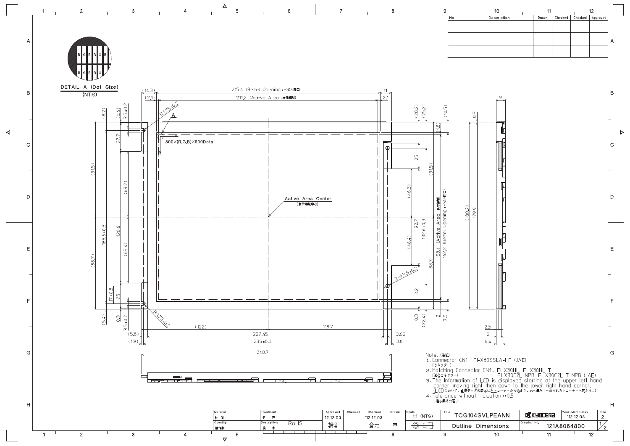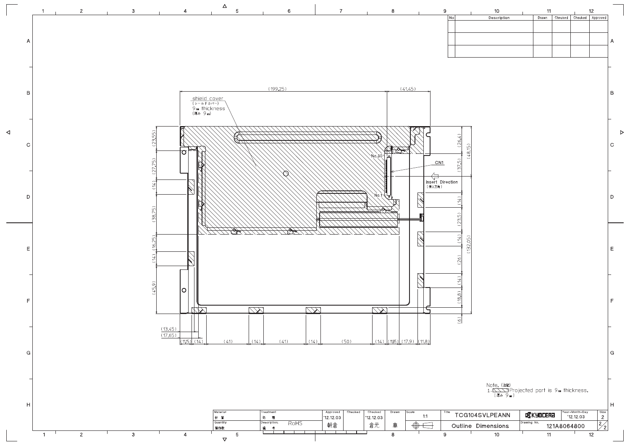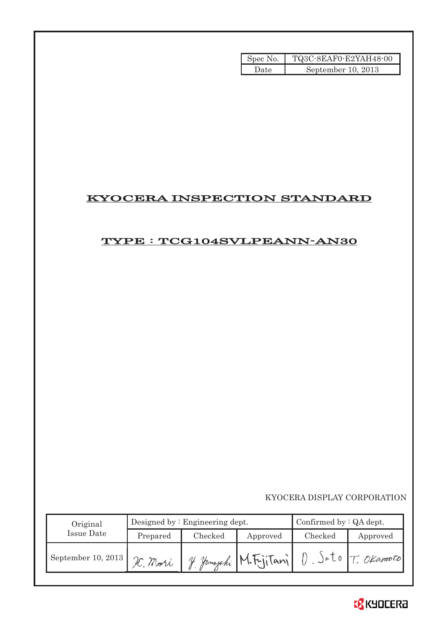| Spec No. | TQ3C-8EAF0-E2YAH48-00 |
|----------|-----------------------|
| Date     | September 10, 2013    |

# KYOCERA INSPECTION STANDARD

# TYPE : TCG104SVLPEANN-AN30

## KYOCERA DISPLAY CORPORATION

| Original           |                     | Designed by $:$ Engineering dept. | Confirmed by $:QA$ dept. |         |                 |
|--------------------|---------------------|-----------------------------------|--------------------------|---------|-----------------|
| Issue Date         | Checked<br>Prepared |                                   | Approved                 | Checked | Approved        |
| September 10, 2013 | H. Mori             |                                   | 4 Jamaraki M.FrjiTanil   |         | Jolo T. OKamoto |

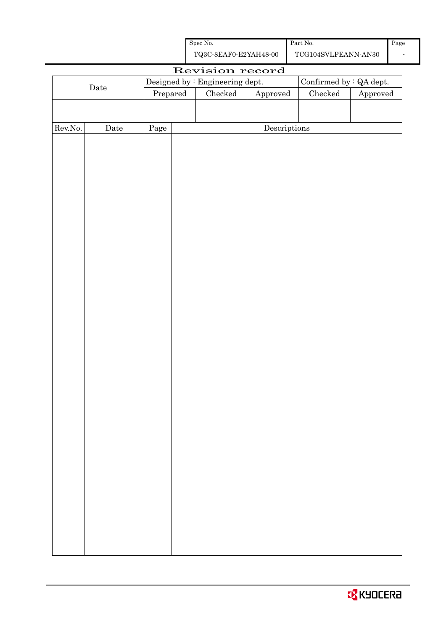| Spec No.              | Part No.            |
|-----------------------|---------------------|
| TQ3C-8EAF0-E2YAH48-00 | TCG104SVLPEANN-AN30 |

|         | Revision record      |          |  |                                 |                        |                         |                        |  |
|---------|----------------------|----------|--|---------------------------------|------------------------|-------------------------|------------------------|--|
|         |                      |          |  | Designed by : Engineering dept. |                        | Confirmed by : QA dept. |                        |  |
|         | $\rm{Date}$          | Prepared |  | $\rm Checked$                   | ${\Large\bf Approved}$ | Checked                 | ${\Large\bf Approved}$ |  |
|         |                      |          |  |                                 |                        |                         |                        |  |
|         |                      |          |  |                                 |                        |                         |                        |  |
| Rev.No. | $\rm{\textbf{Date}}$ | Page     |  |                                 | Descriptions           |                         |                        |  |
|         |                      |          |  |                                 |                        |                         |                        |  |
|         |                      |          |  |                                 |                        |                         |                        |  |
|         |                      |          |  |                                 |                        |                         |                        |  |
|         |                      |          |  |                                 |                        |                         |                        |  |
|         |                      |          |  |                                 |                        |                         |                        |  |
|         |                      |          |  |                                 |                        |                         |                        |  |
|         |                      |          |  |                                 |                        |                         |                        |  |
|         |                      |          |  |                                 |                        |                         |                        |  |
|         |                      |          |  |                                 |                        |                         |                        |  |
|         |                      |          |  |                                 |                        |                         |                        |  |
|         |                      |          |  |                                 |                        |                         |                        |  |
|         |                      |          |  |                                 |                        |                         |                        |  |
|         |                      |          |  |                                 |                        |                         |                        |  |
|         |                      |          |  |                                 |                        |                         |                        |  |
|         |                      |          |  |                                 |                        |                         |                        |  |
|         |                      |          |  |                                 |                        |                         |                        |  |
|         |                      |          |  |                                 |                        |                         |                        |  |
|         |                      |          |  |                                 |                        |                         |                        |  |
|         |                      |          |  |                                 |                        |                         |                        |  |
|         |                      |          |  |                                 |                        |                         |                        |  |
|         |                      |          |  |                                 |                        |                         |                        |  |
|         |                      |          |  |                                 |                        |                         |                        |  |
|         |                      |          |  |                                 |                        |                         |                        |  |
|         |                      |          |  |                                 |                        |                         |                        |  |
|         |                      |          |  |                                 |                        |                         |                        |  |
|         |                      |          |  |                                 |                        |                         |                        |  |
|         |                      |          |  |                                 |                        |                         |                        |  |
|         |                      |          |  |                                 |                        |                         |                        |  |
|         |                      |          |  |                                 |                        |                         |                        |  |
|         |                      |          |  |                                 |                        |                         |                        |  |
|         |                      |          |  |                                 |                        |                         |                        |  |
|         |                      |          |  |                                 |                        |                         |                        |  |
|         |                      |          |  |                                 |                        |                         |                        |  |
|         |                      |          |  |                                 |                        |                         |                        |  |
|         |                      |          |  |                                 |                        |                         |                        |  |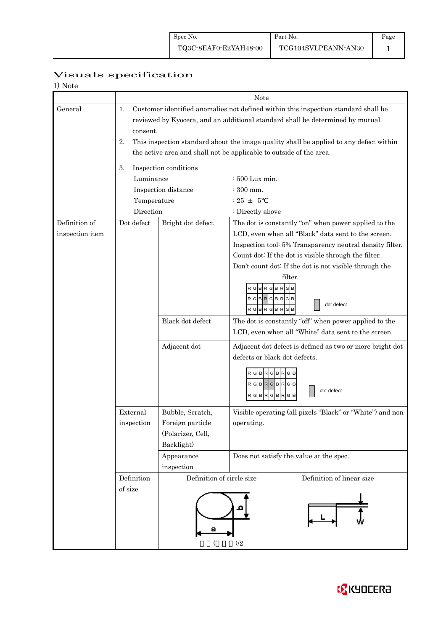# Visuals specification

| 1) Note |
|---------|
|---------|

|                 |                |                           | Note                                                                                                                                                                |  |  |  |  |
|-----------------|----------------|---------------------------|---------------------------------------------------------------------------------------------------------------------------------------------------------------------|--|--|--|--|
| General         | 1.<br>consent. |                           | Customer identified anomalies not defined within this inspection standard shall be<br>reviewed by Kyocera, and an additional standard shall be determined by mutual |  |  |  |  |
|                 | 2.             |                           | This inspection standard about the image quality shall be applied to any defect within                                                                              |  |  |  |  |
|                 |                |                           | the active area and shall not be applicable to outside of the area.                                                                                                 |  |  |  |  |
|                 | 3.             | Inspection conditions     |                                                                                                                                                                     |  |  |  |  |
|                 | Luminance      |                           | : 500 Lux min.                                                                                                                                                      |  |  |  |  |
|                 |                | Inspection distance       | $\div$ 300 mm.                                                                                                                                                      |  |  |  |  |
|                 | Temperature    |                           | $: 25 + 5$                                                                                                                                                          |  |  |  |  |
|                 | Direction      |                           | : Directly above                                                                                                                                                    |  |  |  |  |
| Definition of   | Dot defect     | Bright dot defect         | The dot is constantly "on" when power applied to the                                                                                                                |  |  |  |  |
| inspection item |                |                           | LCD, even when all "Black" data sent to the screen.                                                                                                                 |  |  |  |  |
|                 |                |                           | Inspection tool: 5% Transparency neutral density filter.                                                                                                            |  |  |  |  |
|                 |                |                           | Count dot: If the dot is visible through the filter.                                                                                                                |  |  |  |  |
|                 |                |                           | Don't count dot: If the dot is not visible through the                                                                                                              |  |  |  |  |
|                 |                |                           | filter.<br>в<br>R<br>RGBRGBRGB<br>dot defect<br>RGBRGBRGB                                                                                                           |  |  |  |  |
|                 |                | Black dot defect          | The dot is constantly "off" when power applied to the<br>LCD, even when all "White" data sent to the screen.                                                        |  |  |  |  |
|                 |                | Adjacent dot              | Adjacent dot defect is defined as two or more bright dot                                                                                                            |  |  |  |  |
|                 |                |                           | defects or black dot defects.                                                                                                                                       |  |  |  |  |
|                 |                |                           | RGBRGBR<br>$\mathsf{R}[\mathsf{G}]\mathsf{B}[\mathsf{R}]\mathsf{G}[\mathsf{B}]\mathsf{R}[\mathsf{G}]\mathsf{B}$<br>dot defect<br>RGBRGBR<br>G                       |  |  |  |  |
|                 | External       | Bubble, Scratch,          | Visible operating (all pixels "Black" or "White") and non                                                                                                           |  |  |  |  |
|                 | inspection     | Foreign particle          | operating.                                                                                                                                                          |  |  |  |  |
|                 |                | (Polarizer, Cell,         |                                                                                                                                                                     |  |  |  |  |
|                 |                | Backlight)                |                                                                                                                                                                     |  |  |  |  |
|                 |                | Appearance                | Does not satisfy the value at the spec.                                                                                                                             |  |  |  |  |
|                 |                | inspection                |                                                                                                                                                                     |  |  |  |  |
|                 | Definition     | Definition of circle size | Definition of linear size                                                                                                                                           |  |  |  |  |
|                 | of size        | а<br>∖                    | )/2                                                                                                                                                                 |  |  |  |  |